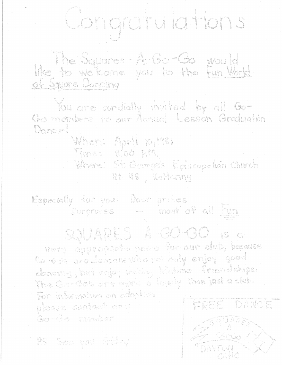## Congratulations

like to velories A. Go-Go would

You are condially invited by all Go-Gomembers to our Annual Lesson Graduation Dance!

When: April 10,1981

Time: 8:00 P.M.

Where: St. George's Episcopalian Church Rt 48, Kettering

Especially for you: Door prizes Surprives in most of all Fun

SQUARES A-GO-OO IS C

very appropecte nove for our dub, because Go-Gog are doncare who will not only good denomy, but enjoy primy lifeline friendships.<br>The Go-Gob are more a legaly than just a club. For information on coloption glacca, contact any

(senia membar

94 Keel yau Giday

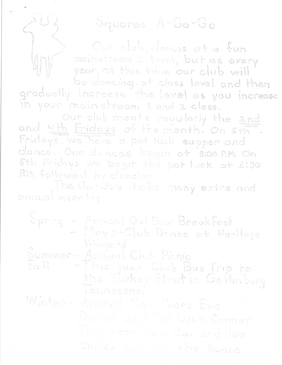## Squares A-Go-Go

Our dieb, dances at a fun moinstream 1. (ave), but as every year, at this trine lour club will

be doncing at class level and then gradually increase the level as you increase in your imainstream 1 and 2 class.

Our dub meets regularly the and and 4th Enidays of the month. On str Fridays; we have a pot luck supper and dancé. Our dances bagin at issouph On 5th Friday's We begin the pot luck at 6130 PM. followed by dencing.

The Costes Rove nony extra and annual events;

Spring - Arnual Out Door Breakfast Wheyard Summer-Annual Club Picnic<br>Fall - Annual Club Picnic<br>Libe Turkey Struttin Gattin burg

Ter, nessea,

Winter- Annie: New Years Lye Natas and the Luck Dinger tria yezh Yenn Cox ord Joe

eniide will coil the Dance.